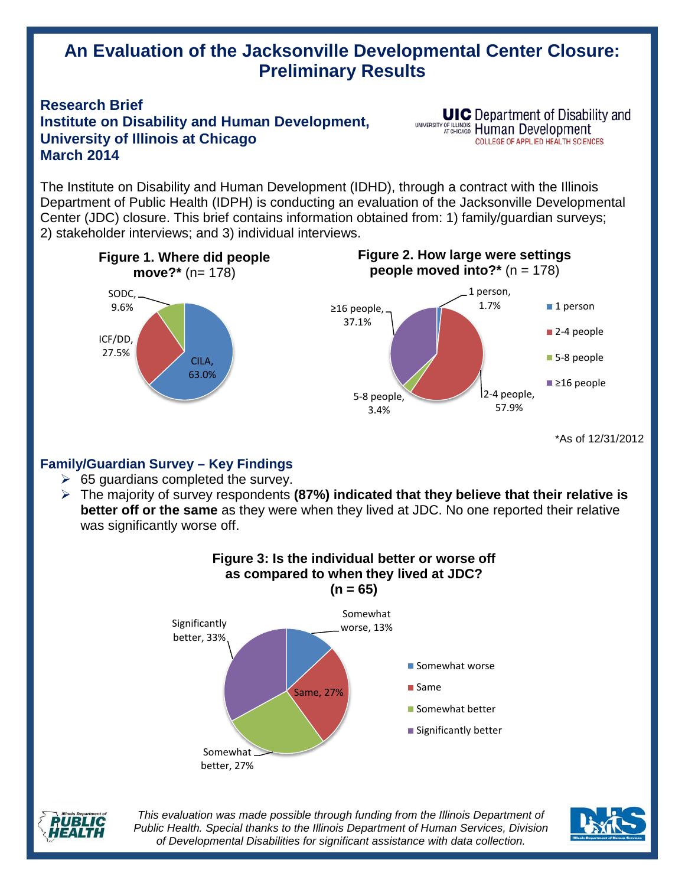# **An Evaluation of the Jacksonville Developmental Center Closure: Preliminary Results**

## **Research Brief Institute on Disability and Human Development, University of Illinois at Chicago March 2014**

**UIC** Department of Disability and UNIVERSITY OF ILLINOIS Human Development **COLLEGE OF APPLIED HEALTH SCIENCES** 

The Institute on Disability and Human Development (IDHD), through a contract with the Illinois Department of Public Health (IDPH) is conducting an evaluation of the Jacksonville Developmental Center (JDC) closure. This brief contains information obtained from: 1) family/guardian surveys; 2) stakeholder interviews; and 3) individual interviews.



\*As of 12/31/2012

## **Family/Guardian Survey – Key Findings**

- $\geq$  65 guardians completed the survey.
- The majority of survey respondents **(87%) indicated that they believe that their relative is better off or the same** as they were when they lived at JDC. No one reported their relative was significantly worse off.





*This evaluation was made possible through funding from the Illinois Department of Public Health. Special thanks to the Illinois Department of Human Services, Division of Developmental Disabilities for significant assistance with data collection.*